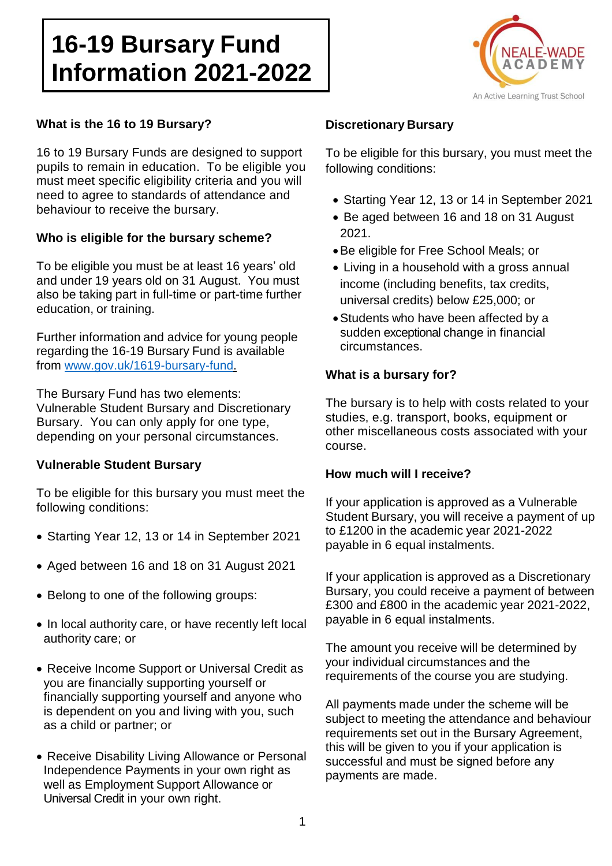# **16-19 Bursary Fund Information 2021-2022**



#### **What is the 16 to 19 Bursary?**

16 to 19 Bursary Funds are designed to support pupils to remain in education. To be eligible you must meet specific eligibility criteria and you will need to agree to standards of attendance and behaviour to receive the bursary.

### **Who is eligible for the bursary scheme?**

To be eligible you must be at least 16 years' old and under 19 years old on 31 August. You must also be taking part in full-time or part-time further education, or training.

Further information and advice for young people regarding the 16-19 Bursary Fund is available from [www.gov.uk/1619-bursary-fund.](http://www.gov.uk/1619-bursary-fund)

The Bursary Fund has two elements: Vulnerable Student Bursary and Discretionary Bursary. You can only apply for one type, depending on your personal circumstances.

### **Vulnerable Student Bursary**

To be eligible for this bursary you must meet the following conditions:

- Starting Year 12, 13 or 14 in September 2021
- Aged between 16 and 18 on 31 August 2021
- Belong to one of the following groups:
- In local authority care, or have recently left local authority care; or
- Receive Income Support or Universal Credit as you are financially supporting yourself or financially supporting yourself and anyone who is dependent on you and living with you, such as a child or partner; or
- Receive Disability Living Allowance or Personal Independence Payments in your own right as well as Employment Support Allowance or Universal Credit in your own right.

# **Discretionary Bursary**

To be eligible for this bursary, you must meet the following conditions:

- Starting Year 12, 13 or 14 in September 2021
- Be aged between 16 and 18 on 31 August 2021.
- Be eligible for Free School Meals; or
- Living in a household with a gross annual income (including benefits, tax credits, universal credits) below £25,000; or
- Students who have been affected by a sudden exceptional change in financial circumstances.

### **What is a bursary for?**

The bursary is to help with costs related to your studies, e.g. transport, books, equipment or other miscellaneous costs associated with your course.

### **How much will I receive?**

If your application is approved as a Vulnerable Student Bursary, you will receive a payment of up to £1200 in the academic year 2021-2022 payable in 6 equal instalments.

If your application is approved as a Discretionary Bursary, you could receive a payment of between £300 and £800 in the academic year 2021-2022, payable in 6 equal instalments.

The amount you receive will be determined by your individual circumstances and the requirements of the course you are studying.

All payments made under the scheme will be subject to meeting the attendance and behaviour requirements set out in the Bursary Agreement, this will be given to you if your application is successful and must be signed before any payments are made.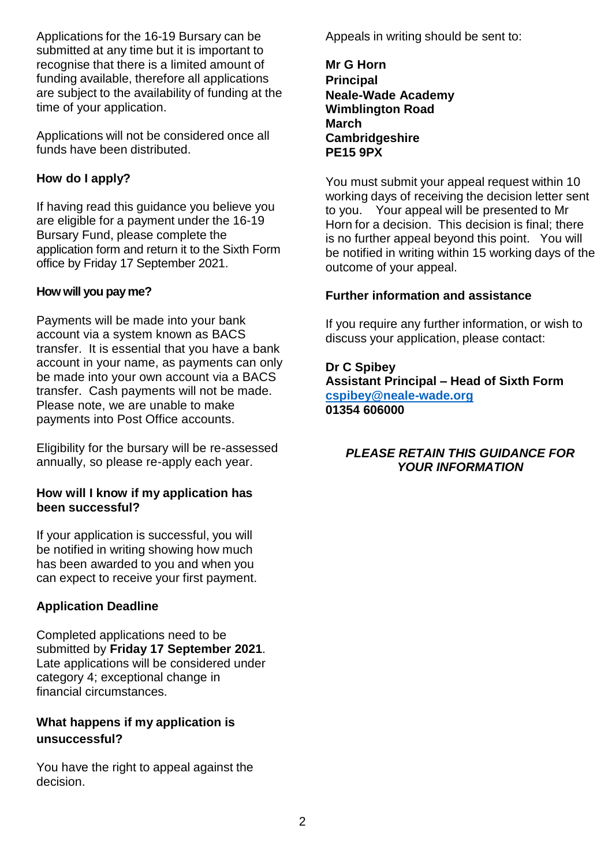Applications for the 16-19 Bursary can be submitted at any time but it is important to recognise that there is a limited amount of funding available, therefore all applications are subject to the availability of funding at the time of your application.

Applications will not be considered once all funds have been distributed.

# **How do I apply?**

If having read this guidance you believe you are eligible for a payment under the 16-19 Bursary Fund, please complete the application form and return it to the Sixth Form office by Friday 17 September 2021.

# **How will you pay me?**

Payments will be made into your bank account via a system known as BACS transfer. It is essential that you have a bank account in your name, as payments can only be made into your own account via a BACS transfer. Cash payments will not be made. Please note, we are unable to make payments into Post Office accounts.

Eligibility for the bursary will be re-assessed annually, so please re-apply each year.

#### **How will I know if my application has been successful?**

If your application is successful, you will be notified in writing showing how much has been awarded to you and when you can expect to receive your first payment.

# **Application Deadline**

Completed applications need to be submitted by **Friday 17 September 2021**. Late applications will be considered under category 4; exceptional change in financial circumstances.

# **What happens if my application is unsuccessful?**

You have the right to appeal against the decision.

Appeals in writing should be sent to:

**Mr G Horn Principal Neale-Wade Academy Wimblington Road March Cambridgeshire PE15 9PX**

You must submit your appeal request within 10 working days of receiving the decision letter sent to you. Your appeal will be presented to Mr Horn for a decision. This decision is final; there is no further appeal beyond this point. You will be notified in writing within 15 working days of the outcome of your appeal.

# **Further information and assistance**

If you require any further information, or wish to discuss your application, please contact:

### **Dr C Spibey**

**Assistant Principal – Head of Sixth Form [cspibey@neale-wade.org](mailto:cspibey@neale-wade.org) 01354 606000**

# *PLEASE RETAIN THIS GUIDANCE FOR YOUR INFORMATION*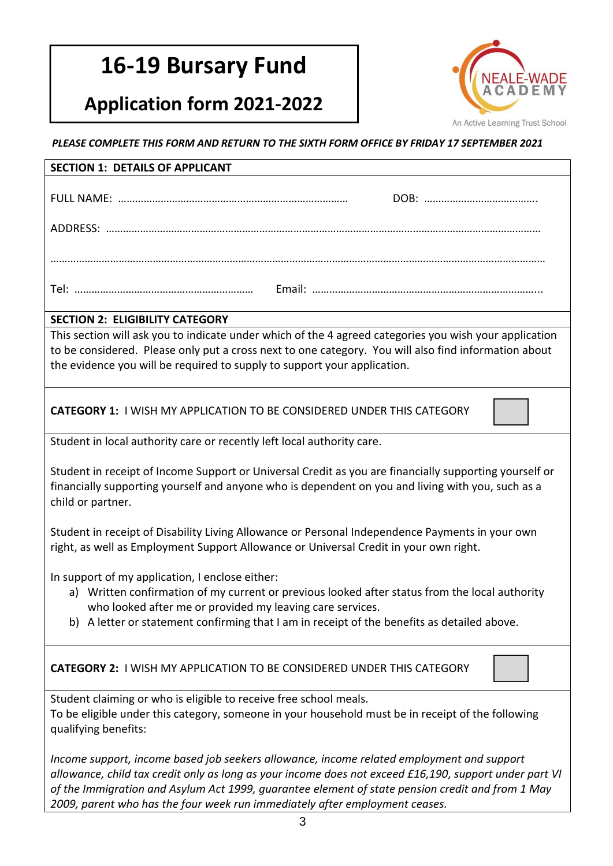# **16-19 Bursary Fund**

# **Application form 2021-2022**



*PLEASE COMPLETE THIS FORM AND RETURN TO THE SIXTH FORM OFFICE BY FRIDAY 17 SEPTEMBER 2021*

| <b>SECTION 1: DETAILS OF APPLICANT</b>                                                                                                                                                                                                                                                                                                                                                 |  |  |
|----------------------------------------------------------------------------------------------------------------------------------------------------------------------------------------------------------------------------------------------------------------------------------------------------------------------------------------------------------------------------------------|--|--|
|                                                                                                                                                                                                                                                                                                                                                                                        |  |  |
|                                                                                                                                                                                                                                                                                                                                                                                        |  |  |
|                                                                                                                                                                                                                                                                                                                                                                                        |  |  |
|                                                                                                                                                                                                                                                                                                                                                                                        |  |  |
| <b>SECTION 2: ELIGIBILITY CATEGORY</b>                                                                                                                                                                                                                                                                                                                                                 |  |  |
| This section will ask you to indicate under which of the 4 agreed categories you wish your application<br>to be considered. Please only put a cross next to one category. You will also find information about<br>the evidence you will be required to supply to support your application.                                                                                             |  |  |
| <b>CATEGORY 1: I WISH MY APPLICATION TO BE CONSIDERED UNDER THIS CATEGORY</b>                                                                                                                                                                                                                                                                                                          |  |  |
| Student in local authority care or recently left local authority care.                                                                                                                                                                                                                                                                                                                 |  |  |
| Student in receipt of Income Support or Universal Credit as you are financially supporting yourself or<br>financially supporting yourself and anyone who is dependent on you and living with you, such as a<br>child or partner.                                                                                                                                                       |  |  |
| Student in receipt of Disability Living Allowance or Personal Independence Payments in your own<br>right, as well as Employment Support Allowance or Universal Credit in your own right.                                                                                                                                                                                               |  |  |
| In support of my application, I enclose either:<br>a) Written confirmation of my current or previous looked after status from the local authority<br>who looked after me or provided my leaving care services.<br>b) A letter or statement confirming that I am in receipt of the benefits as detailed above.                                                                          |  |  |
| <b>CATEGORY 2: I WISH MY APPLICATION TO BE CONSIDERED UNDER THIS CATEGORY</b>                                                                                                                                                                                                                                                                                                          |  |  |
| Student claiming or who is eligible to receive free school meals.<br>To be eligible under this category, someone in your household must be in receipt of the following<br>qualifying benefits:                                                                                                                                                                                         |  |  |
| Income support, income based job seekers allowance, income related employment and support<br>allowance, child tax credit only as long as your income does not exceed £16,190, support under part VI<br>of the Immigration and Asylum Act 1999, guarantee element of state pension credit and from 1 May<br>2009, parent who has the four week run immediately after employment ceases. |  |  |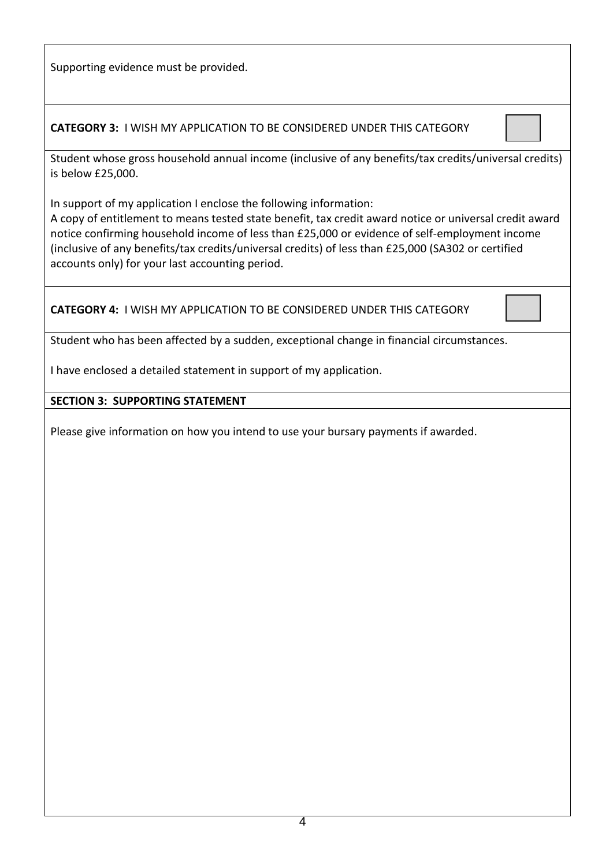Supporting evidence must be provided.

**CATEGORY 3:** I WISH MY APPLICATION TO BE CONSIDERED UNDER THIS CATEGORY

Student whose gross household annual income (inclusive of any benefits/tax credits/universal credits) is below £25,000.

In support of my application I enclose the following information:

A copy of entitlement to means tested state benefit, tax credit award notice or universal credit award notice confirming household income of less than £25,000 or evidence of self-employment income (inclusive of any benefits/tax credits/universal credits) of less than £25,000 (SA302 or certified accounts only) for your last accounting period.

**CATEGORY 4:** I WISH MY APPLICATION TO BE CONSIDERED UNDER THIS CATEGORY

Student who has been affected by a sudden, exceptional change in financial circumstances.

I have enclosed a detailed statement in support of my application.

### **SECTION 3: SUPPORTING STATEMENT**

Please give information on how you intend to use your bursary payments if awarded.